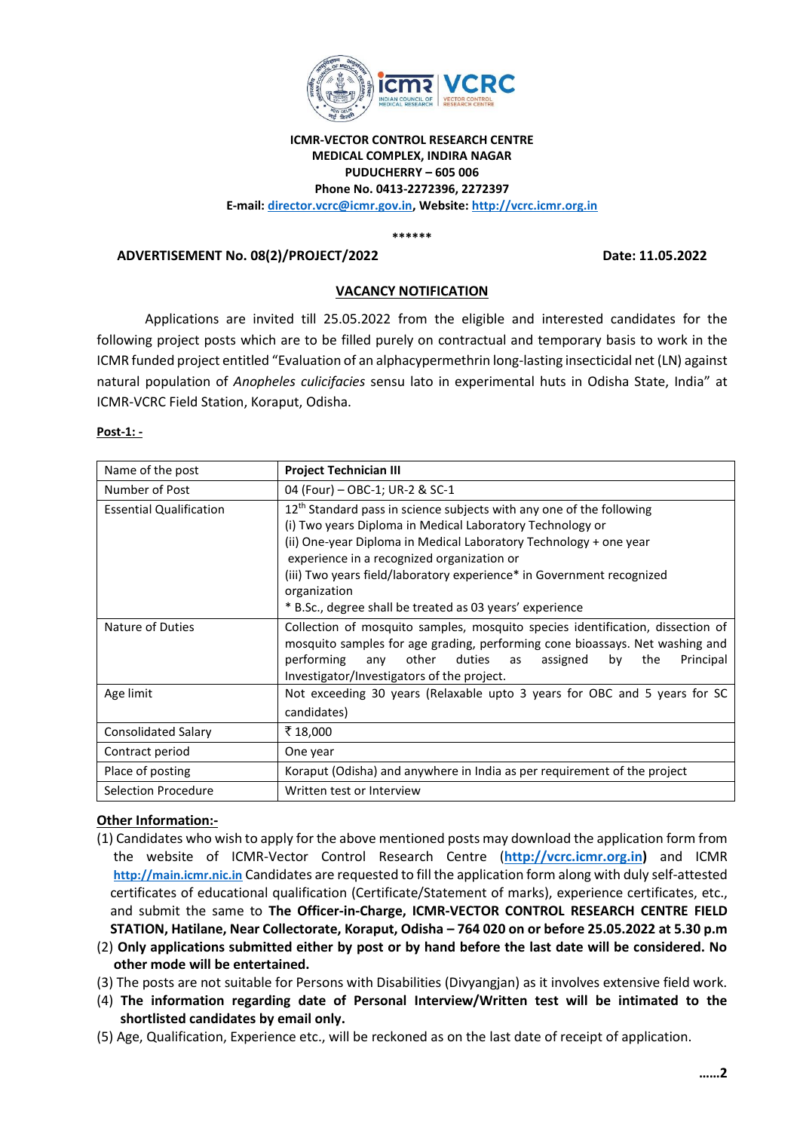

## **ICMR-VECTOR CONTROL RESEARCH CENTRE MEDICAL COMPLEX, INDIRA NAGAR PUDUCHERRY – 605 006 Phone No. 0413-2272396, 2272397 E-mail: director.vcrc@icmr.gov.in, Website: [http://vcrc.icmr.org.in](http://vcrc.icmr.org.in/)**

**\*\*\*\*\*\***

## **ADVERTISEMENT No. 08(2)/PROJECT/2022 Date: 11.05.2022**

### **VACANCY NOTIFICATION**

Applications are invited till 25.05.2022 from the eligible and interested candidates for the following project posts which are to be filled purely on contractual and temporary basis to work in the ICMR funded project entitled "Evaluation of an alphacypermethrin long-lasting insecticidal net (LN) against natural population of *Anopheles culicifacies* sensu lato in experimental huts in Odisha State, India" at ICMR-VCRC Field Station, Koraput, Odisha.

#### **Post-1: -**

| Name of the post               | <b>Project Technician III</b>                                                                                                                                                                                                                                                                                                                                                                               |
|--------------------------------|-------------------------------------------------------------------------------------------------------------------------------------------------------------------------------------------------------------------------------------------------------------------------------------------------------------------------------------------------------------------------------------------------------------|
| Number of Post                 | 04 (Four) - OBC-1; UR-2 & SC-1                                                                                                                                                                                                                                                                                                                                                                              |
| <b>Essential Qualification</b> | $12th$ Standard pass in science subjects with any one of the following<br>(i) Two years Diploma in Medical Laboratory Technology or<br>(ii) One-year Diploma in Medical Laboratory Technology + one year<br>experience in a recognized organization or<br>(iii) Two years field/laboratory experience* in Government recognized<br>organization<br>* B.Sc., degree shall be treated as 03 years' experience |
| Nature of Duties               | Collection of mosquito samples, mosquito species identification, dissection of<br>mosquito samples for age grading, performing cone bioassays. Net washing and<br>duties<br>performing<br>other<br>assigned<br>bv<br>the<br>Principal<br>any<br>as<br>Investigator/Investigators of the project.                                                                                                            |
| Age limit                      | Not exceeding 30 years (Relaxable upto 3 years for OBC and 5 years for SC<br>candidates)                                                                                                                                                                                                                                                                                                                    |
| <b>Consolidated Salary</b>     | ₹ 18,000                                                                                                                                                                                                                                                                                                                                                                                                    |
| Contract period                | One year                                                                                                                                                                                                                                                                                                                                                                                                    |
| Place of posting               | Koraput (Odisha) and anywhere in India as per requirement of the project                                                                                                                                                                                                                                                                                                                                    |
| <b>Selection Procedure</b>     | Written test or Interview                                                                                                                                                                                                                                                                                                                                                                                   |

# **Other Information:-**

- (1) Candidates who wish to apply for the above mentioned posts may download the application form from the website of ICMR-Vector Control Research Centre (**[http://vcrc.icmr.org.in\)](http://vcrc.icmr.org.in/)** and ICMR **[http://main.icmr.nic.in](http://main.icmr.nic.in/)** Candidates are requested to fill the application form along with duly self-attested certificates of educational qualification (Certificate/Statement of marks), experience certificates, etc., and submit the same to **The Officer-in-Charge, ICMR-VECTOR CONTROL RESEARCH CENTRE FIELD STATION, Hatilane, Near Collectorate, Koraput, Odisha – 764 020 on or before 25.05.2022 at 5.30 p.m**
- (2) **Only applications submitted either by post or by hand before the last date will be considered. No other mode will be entertained.**
- (3) The posts are not suitable for Persons with Disabilities (Divyangjan) as it involves extensive field work.
- (4) **The information regarding date of Personal Interview/Written test will be intimated to the shortlisted candidates by email only.**
- (5) Age, Qualification, Experience etc., will be reckoned as on the last date of receipt of application.